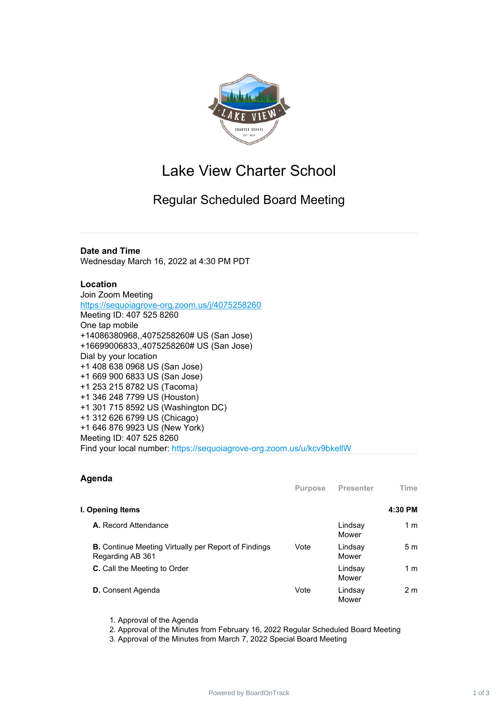

# Lake View Charter School

# Regular Scheduled Board Meeting

## **Date and Time**

Wednesday March 16, 2022 at 4:30 PM PDT

### **Location**

Join Zoom Meeting <https://sequoiagrove-org.zoom.us/j/4075258260> Meeting ID: 407 525 8260 One tap mobile +14086380968,,4075258260# US (San Jose) +16699006833,,4075258260# US (San Jose) Dial by your location +1 408 638 0968 US (San Jose) +1 669 900 6833 US (San Jose) +1 253 215 8782 US (Tacoma) +1 346 248 7799 US (Houston) +1 301 715 8592 US (Washington DC) +1 312 626 6799 US (Chicago) +1 646 876 9923 US (New York) Meeting ID: 407 525 8260 Find your local number: https://sequoiagrove-org.zoom.us/u/kcv9bkellW

### **Agenda**

|                                                                                 | <b>Purpose</b> | <b>Presenter</b> | Time           |
|---------------------------------------------------------------------------------|----------------|------------------|----------------|
| I. Opening Items                                                                |                |                  | 4:30 PM        |
| <b>A.</b> Record Attendance                                                     |                | Lindsay<br>Mower | 1 m            |
| <b>B.</b> Continue Meeting Virtually per Report of Findings<br>Regarding AB 361 | Vote           | Lindsay<br>Mower | 5 <sub>m</sub> |
| <b>C.</b> Call the Meeting to Order                                             |                | Lindsay<br>Mower | 1 <sub>m</sub> |
| <b>D.</b> Consent Agenda                                                        | Vote           | Lindsay<br>Mower | 2 <sub>m</sub> |

- 1. Approval of the Agenda
- 2. Approval of the Minutes from February 16, 2022 Regular Scheduled Board Meeting

3. Approval of the Minutes from March 7, 2022 Special Board Meeting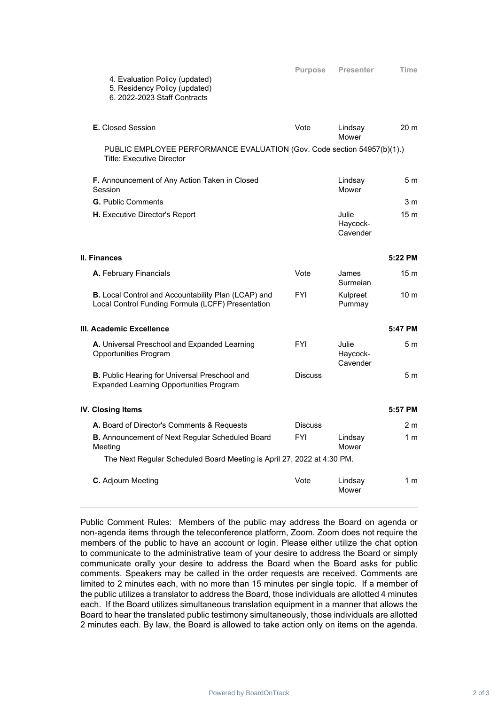| 5. Residency Policy (updated)<br>6. 2022-2023 Staff Contracts                                               |                |                               |                 |
|-------------------------------------------------------------------------------------------------------------|----------------|-------------------------------|-----------------|
| <b>E.</b> Closed Session                                                                                    | Vote           | Lindsay<br>Mower              | 20 <sub>m</sub> |
| PUBLIC EMPLOYEE PERFORMANCE EVALUATION (Gov. Code section 54957(b)(1).)<br><b>Title: Executive Director</b> |                |                               |                 |
| F. Announcement of Any Action Taken in Closed<br>Session                                                    |                | Lindsay<br>Mower              | 5 <sub>m</sub>  |
| <b>G.</b> Public Comments                                                                                   |                |                               | 3 m             |
| <b>H.</b> Executive Director's Report                                                                       |                | Julie<br>Haycock-<br>Cavender | 15 <sub>m</sub> |
| II. Finances                                                                                                |                |                               | 5:22 PM         |
| A. February Financials                                                                                      | Vote           | James<br>Surmeian             | 15 <sub>m</sub> |
| B. Local Control and Accountability Plan (LCAP) and<br>Local Control Funding Formula (LCFF) Presentation    | <b>FYI</b>     | Kulpreet<br>Pummay            | 10 <sub>m</sub> |
| III. Academic Excellence                                                                                    |                |                               | 5:47 PM         |
| A. Universal Preschool and Expanded Learning<br>Opportunities Program                                       | <b>FYI</b>     | Julie<br>Haycock-<br>Cavender | 5 m             |
| <b>B.</b> Public Hearing for Universal Preschool and<br><b>Expanded Learning Opportunities Program</b>      | <b>Discuss</b> |                               | 5 <sub>m</sub>  |
| <b>IV. Closing Items</b>                                                                                    |                |                               | 5:57 PM         |
| A. Board of Director's Comments & Requests                                                                  | <b>Discuss</b> |                               | 2 <sub>m</sub>  |
| B. Announcement of Next Regular Scheduled Board<br>Meeting                                                  | <b>FYI</b>     | Lindsay<br>Mower              | 1 <sub>m</sub>  |
| The Next Regular Scheduled Board Meeting is April 27, 2022 at 4:30 PM.                                      |                |                               |                 |
| C. Adjourn Meeting                                                                                          | Vote           | Lindsay<br>Mower              | 1 <sub>m</sub>  |

4. Evaluation Policy (updated)

Public Comment Rules: Members of the public may address the Board on agenda or non-agenda items through the teleconference platform, Zoom. Zoom does not require the members of the public to have an account or login. Please either utilize the chat option to communicate to the administrative team of your desire to address the Board or simply communicate orally your desire to address the Board when the Board asks for public comments. Speakers may be called in the order requests are received. Comments are limited to 2 minutes each, with no more than 15 minutes per single topic. If a member of the public utilizes a translator to address the Board, those individuals are allotted 4 minutes each. If the Board utilizes simultaneous translation equipment in a manner that allows the Board to hear the translated public testimony simultaneously, those individuals are allotted 2 minutes each. By law, the Board is allowed to take action only on items on the agenda.